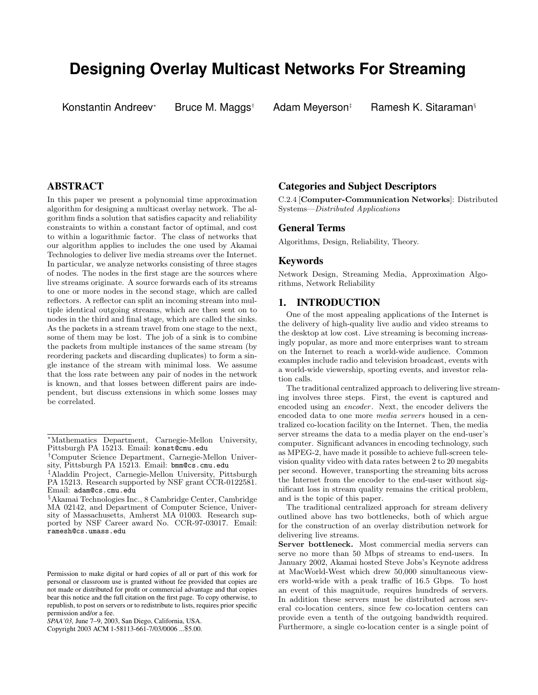# **Designing Overlay Multicast Networks For Streaming**

Konstantin Andreev

Bruce M. Maggs† Adam Meyerson‡ Ramesh K. Sitaraman<sup>§</sup>

# **ABSTRACT**

In this paper we present a polynomial time approximation algorithm for designing a multicast overlay network. The algorithm finds a solution that satisfies capacity and reliability constraints to within a constant factor of optimal, and cost to within a logarithmic factor. The class of networks that our algorithm applies to includes the one used by Akamai Technologies to deliver live media streams over the Internet. In particular, we analyze networks consisting of three stages of nodes. The nodes in the first stage are the sources where live streams originate. A source forwards each of its streams to one or more nodes in the second stage, which are called reflectors. A reflector can split an incoming stream into multiple identical outgoing streams, which are then sent on to nodes in the third and final stage, which are called the sinks. As the packets in a stream travel from one stage to the next, some of them may be lost. The job of a sink is to combine the packets from multiple instances of the same stream (by reordering packets and discarding duplicates) to form a single instance of the stream with minimal loss. We assume that the loss rate between any pair of nodes in the network is known, and that losses between different pairs are independent, but discuss extensions in which some losses may be correlated.

### **Categories and Subject Descriptors**

C.2.4 [Computer-Communication Networks]: Distributed Systems—Distributed Applications

# **General Terms**

Algorithms, Design, Reliability, Theory.

# **Keywords**

Network Design, Streaming Media, Approximation Algorithms, Network Reliability

# **1. INTRODUCTION**

One of the most appealing applications of the Internet is the delivery of high-quality live audio and video streams to the desktop at low cost. Live streaming is becoming increasingly popular, as more and more enterprises want to stream on the Internet to reach a world-wide audience. Common examples include radio and television broadcast, events with a world-wide viewership, sporting events, and investor relation calls.

The traditional centralized approach to delivering live streaming involves three steps. First, the event is captured and encoded using an encoder. Next, the encoder delivers the encoded data to one more media servers housed in a centralized co-location facility on the Internet. Then, the media server streams the data to a media player on the end-user's computer. Significant advances in encoding technology, such as MPEG-2, have made it possible to achieve full-screen television quality video with data rates between 2 to 20 megabits per second. However, transporting the streaming bits across the Internet from the encoder to the end-user without significant loss in stream quality remains the critical problem, and is the topic of this paper.

The traditional centralized approach for stream delivery outlined above has two bottlenecks, both of which argue for the construction of an overlay distribution network for delivering live streams.

Server bottleneck. Most commercial media servers can serve no more than 50 Mbps of streams to end-users. In January 2002, Akamai hosted Steve Jobs's Keynote address at MacWorld-West which drew 50,000 simultaneous viewers world-wide with a peak traffic of 16.5 Gbps. To host an event of this magnitude, requires hundreds of servers. In addition these servers must be distributed across several co-location centers, since few co-location centers can provide even a tenth of the outgoing bandwidth required. Furthermore, a single co-location center is a single point of

<sup>∗</sup>Mathematics Department, Carnegie-Mellon University, Pittsburgh PA 15213. Email: konst@cmu.edu

<sup>†</sup>Computer Science Department, Carnegie-Mellon University, Pittsburgh PA 15213. Email: bmm@cs.cmu.edu

<sup>‡</sup>Aladdin Project, Carnegie-Mellon University, Pittsburgh PA 15213. Research supported by NSF grant CCR-0122581. Email: adam@cs.cmu.edu

<sup>§</sup>Akamai Technologies Inc., 8 Cambridge Center, Cambridge MA 02142, and Department of Computer Science, University of Massachusetts, Amherst MA 01003. Research supported by NSF Career award No. CCR-97-03017. Email: ramesh@cs.umass.edu

Permission to make digital or hard copies of all or part of this work for personal or classroom use is granted without fee provided that copies are not made or distributed for profit or commercial advantage and that copies bear this notice and the full citation on the first page. To copy otherwise, to republish, to post on servers or to redistribute to lists, requires prior specific permission and/or a fee.

*SPAA'03,* June 7–9, 2003, San Diego, California, USA.

Copyright 2003 ACM 1-58113-661-7/03/0006 ...\$5.00.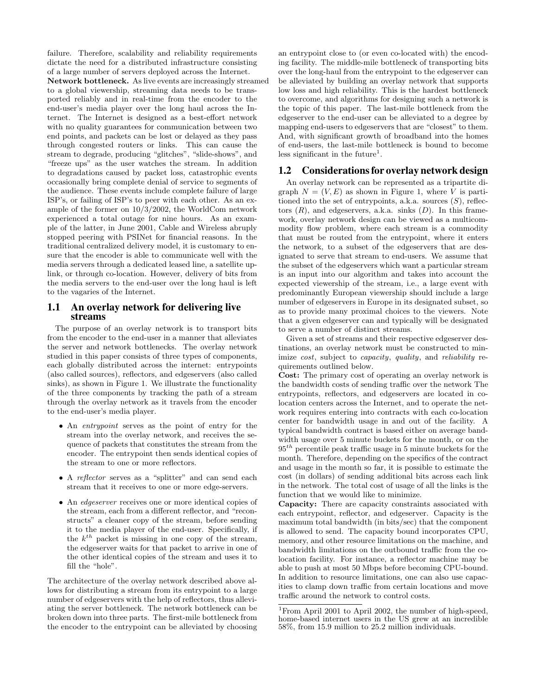failure. Therefore, scalability and reliability requirements dictate the need for a distributed infrastructure consisting of a large number of servers deployed across the Internet. Network bottleneck. As live events are increasingly streamed to a global viewership, streaming data needs to be transported reliably and in real-time from the encoder to the end-user's media player over the long haul across the Internet. The Internet is designed as a best-effort network with no quality guarantees for communication between two end points, and packets can be lost or delayed as they pass through congested routers or links. This can cause the stream to degrade, producing "glitches", "slide-shows", and "freeze ups" as the user watches the stream. In addition to degradations caused by packet loss, catastrophic events occasionally bring complete denial of service to segments of the audience. These events include complete failure of large ISP's, or failing of ISP's to peer with each other. As an example of the former on 10/3/2002, the WorldCom network experienced a total outage for nine hours. As an example of the latter, in June 2001, Cable and Wireless abruply stopped peering with PSINet for financial reasons. In the traditional centralized delivery model, it is customary to ensure that the encoder is able to communicate well with the media servers through a dedicated leased line, a satellite uplink, or through co-location. However, delivery of bits from the media servers to the end-user over the long haul is left to the vagaries of the Internet.

# **1.1 An overlay network for delivering live streams**

The purpose of an overlay network is to transport bits from the encoder to the end-user in a manner that alleviates the server and network bottlenecks. The overlay network studied in this paper consists of three types of components, each globally distributed across the internet: entrypoints (also called sources), reflectors, and edgeservers (also called sinks), as shown in Figure 1. We illustrate the functionality of the three components by tracking the path of a stream through the overlay network as it travels from the encoder to the end-user's media player.

- An *entrypoint* serves as the point of entry for the stream into the overlay network, and receives the sequence of packets that constitutes the stream from the encoder. The entrypoint then sends identical copies of the stream to one or more reflectors.
- A *reflector* serves as a "splitter" and can send each stream that it receives to one or more edge-servers.
- An *edgeserver* receives one or more identical copies of the stream, each from a different reflector, and "reconstructs" a cleaner copy of the stream, before sending it to the media player of the end-user. Specifically, if the  $k^{th}$  packet is missing in one copy of the stream, the edgeserver waits for that packet to arrive in one of the other identical copies of the stream and uses it to fill the "hole".

The architecture of the overlay network described above allows for distributing a stream from its entrypoint to a large number of edgeservers with the help of reflectors, thus alleviating the server bottleneck. The network bottleneck can be broken down into three parts. The first-mile bottleneck from the encoder to the entrypoint can be alleviated by choosing an entrypoint close to (or even co-located with) the encoding facility. The middle-mile bottleneck of transporting bits over the long-haul from the entrypoint to the edgeserver can be alleviated by building an overlay network that supports low loss and high reliability. This is the hardest bottleneck to overcome, and algorithms for designing such a network is the topic of this paper. The last-mile bottleneck from the edgeserver to the end-user can be alleviated to a degree by mapping end-users to edgeservers that are "closest" to them. And, with significant growth of broadband into the homes of end-users, the last-mile bottleneck is bound to become less significant in the future<sup>1</sup>.

### **1.2 Considerationsfor overlay network design**

An overlay network can be represented as a tripartite digraph  $N = (V, E)$  as shown in Figure 1, where V is partitioned into the set of entrypoints, a.k.a. sources  $(S)$ , reflectors  $(R)$ , and edgeservers, a.k.a. sinks  $(D)$ . In this framework, overlay network design can be viewed as a multicommodity flow problem, where each stream is a commodity that must be routed from the entrypoint, where it enters the network, to a subset of the edgeservers that are designated to serve that stream to end-users. We assume that the subset of the edgeservers which want a particular stream is an input into our algorithm and takes into account the expected viewership of the stream, i.e., a large event with predominantly European viewership should include a large number of edgeservers in Europe in its designated subset, so as to provide many proximal choices to the viewers. Note that a given edgeserver can and typically will be designated to serve a number of distinct streams.

Given a set of streams and their respective edgeserver destinations, an overlay network must be constructed to minimize *cost*, subject to *capacity*, *quality*, and *reliability* requirements outlined below.

Cost: The primary cost of operating an overlay network is the bandwidth costs of sending traffic over the network The entrypoints, reflectors, and edgeservers are located in colocation centers across the Internet, and to operate the network requires entering into contracts with each co-location center for bandwidth usage in and out of the facility. A typical bandwidth contract is based either on average bandwidth usage over 5 minute buckets for the month, or on the  $95<sup>th</sup>$  percentile peak traffic usage in 5 minute buckets for the month. Therefore, depending on the specifics of the contract and usage in the month so far, it is possible to estimate the cost (in dollars) of sending additional bits across each link in the network. The total cost of usage of all the links is the function that we would like to minimize.

Capacity: There are capacity constraints associated with each entrypoint, reflector, and edgeserver. Capacity is the maximum total bandwidth (in bits/sec) that the component is allowed to send. The capacity bound incorporates CPU, memory, and other resource limitations on the machine, and bandwidth limitations on the outbound traffic from the colocation facility. For instance, a reflector machine may be able to push at most 50 Mbps before becoming CPU-bound. In addition to resource limitations, one can also use capacities to clamp down traffic from certain locations and move traffic around the network to control costs.

<sup>1</sup>From April 2001 to April 2002, the number of high-speed, home-based internet users in the US grew at an incredible 58%, from 15.9 million to 25.2 million individuals.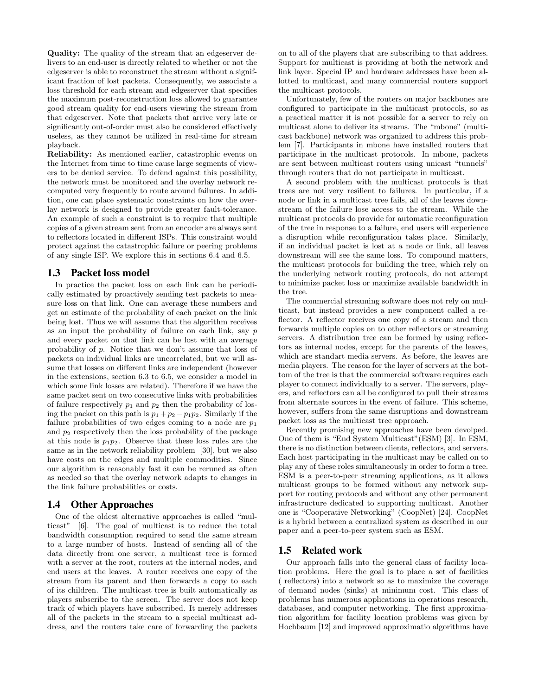Quality: The quality of the stream that an edgeserver delivers to an end-user is directly related to whether or not the edgeserver is able to reconstruct the stream without a significant fraction of lost packets. Consequently, we associate a loss threshold for each stream and edgeserver that specifies the maximum post-reconstruction loss allowed to guarantee good stream quality for end-users viewing the stream from that edgeserver. Note that packets that arrive very late or significantly out-of-order must also be considered effectively useless, as they cannot be utilized in real-time for stream playback.

Reliability: As mentioned earlier, catastrophic events on the Internet from time to time cause large segments of viewers to be denied service. To defend against this possibility, the network must be monitored and the overlay network recomputed very frequently to route around failures. In addition, one can place systematic constraints on how the overlay network is designed to provide greater fault-tolerance. An example of such a constraint is to require that multiple copies of a given stream sent from an encoder are always sent to reflectors located in different ISPs. This constraint would protect against the catastrophic failure or peering problems of any single ISP. We explore this in sections 6.4 and 6.5.

# **1.3 Packet loss model**

In practice the packet loss on each link can be periodically estimated by proactively sending test packets to measure loss on that link. One can average these numbers and get an estimate of the probability of each packet on the link being lost. Thus we will assume that the algorithm receives as an input the probability of failure on each link, say p and every packet on that link can be lost with an average probability of p. Notice that we don't assume that loss of packets on individual links are uncorrelated, but we will assume that losses on different links are independent (however in the extensions, section 6.3 to 6.5, we consider a model in which some link losses are related). Therefore if we have the same packet sent on two consecutive links with probabilities of failure respectively  $p_1$  and  $p_2$  then the probability of losing the packet on this path is  $p_1 + p_2 - p_1p_2$ . Similarly if the failure probabilities of two edges coming to a node are  $p_1$ and  $p_2$  respectively then the loss probability of the package at this node is  $p_1p_2$ . Observe that these loss rules are the same as in the network reliability problem [30], but we also have costs on the edges and multiple commodities. Since our algorithm is reasonably fast it can be reruned as often as needed so that the overlay network adapts to changes in the link failure probabilities or costs.

# **1.4 Other Approaches**

One of the oldest alternative approaches is called "multicast" [6]. The goal of multicast is to reduce the total bandwidth consumption required to send the same stream to a large number of hosts. Instead of sending all of the data directly from one server, a multicast tree is formed with a server at the root, routers at the internal nodes, and end users at the leaves. A router receives one copy of the stream from its parent and then forwards a copy to each of its children. The multicast tree is built automatically as players subscribe to the screen. The server does not keep track of which players have subscribed. It merely addresses all of the packets in the stream to a special multicast address, and the routers take care of forwarding the packets on to all of the players that are subscribing to that address. Support for multicast is providing at both the network and link layer. Special IP and hardware addresses have been allotted to multicast, and many commercial routers support the multicast protocols.

Unfortunately, few of the routers on major backbones are configured to participate in the multicast protocols, so as a practical matter it is not possible for a server to rely on multicast alone to deliver its streams. The "mbone" (multicast backbone) network was organized to address this problem [7]. Participants in mbone have installed routers that participate in the multicast protocols. In mbone, packets are sent between multicast routers using unicast "tunnels" through routers that do not participate in multicast.

A second problem with the multicast protocols is that trees are not very resilient to failures. In particular, if a node or link in a multicast tree fails, all of the leaves downstream of the failure lose access to the stream. While the multicast protocols do provide for automatic reconfiguration of the tree in response to a failure, end users will experience a disruption while reconfiguration takes place. Similarly, if an individual packet is lost at a node or link, all leaves downstream will see the same loss. To compound matters, the multicast protocols for building the tree, which rely on the underlying network routing protocols, do not attempt to minimize packet loss or maximize available bandwidth in the tree.

The commercial streaming software does not rely on multicast, but instead provides a new component called a reflector. A reflector receives one copy of a stream and then forwards multiple copies on to other reflectors or streaming servers. A distribution tree can be formed by using reflectors as internal nodes, except for the parents of the leaves, which are standart media servers. As before, the leaves are media players. The reason for the layer of servers at the bottom of the tree is that the commercial software requires each player to connect individually to a server. The servers, players, and reflectors can all be configured to pull their streams from alternate sources in the event of failure. This scheme, however, suffers from the same disruptions and downstream packet loss as the multicast tree approach.

Recently promising new approaches have been devolped. One of them is "End System Multicast"(ESM) [3]. In ESM, there is no distinction between clients, reflectors, and servers. Each host participating in the multicast may be called on to play any of these roles simultaneously in order to form a tree. ESM is a peer-to-peer streaming applications, as it allows multicast groups to be formed without any network support for routing protocols and without any other permanent infrastructure dedicated to supporting multicast. Another one is "Cooperative Networking" (CoopNet) [24]. CoopNet is a hybrid between a centralized system as described in our paper and a peer-to-peer system such as ESM.

#### **1.5 Related work**

Our approach falls into the general class of facility location problems. Here the goal is to place a set of facilities ( reflectors) into a network so as to maximize the coverage of demand nodes (sinks) at minimum cost. This class of problems has numerous applications in operations research, databases, and computer networking. The first approximation algorithm for facility location problems was given by Hochbaum [12] and improved approximatio algorithms have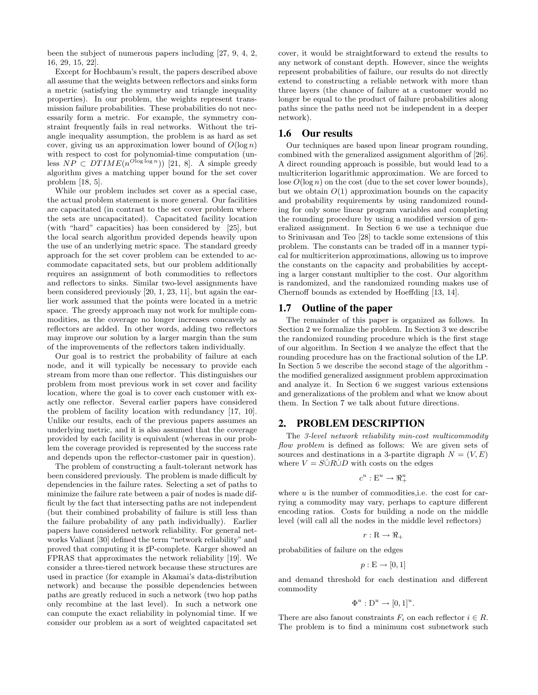been the subject of numerous papers including [27, 9, 4, 2, 16, 29, 15, 22].

Except for Hochbaum's result, the papers described above all assume that the weights between reflectors and sinks form a metric (satisfying the symmetry and triangle inequality properties). In our problem, the weights represent transmission failure probabilities. These probabilities do not necessarily form a metric. For example, the symmetry constraint frequently fails in real networks. Without the triangle inequality assumption, the problem is as hard as set cover, giving us an approximation lower bound of  $O(\log n)$ with respect to cost for polynomial-time computation (unless  $NP \subset DTIME(n^{Olog log n}))$  [21, 8]. A simple greedy algorithm gives a matching upper bound for the set cover problem [18, 5].

While our problem includes set cover as a special case, the actual problem statement is more general. Our facilities are capacitated (in contrast to the set cover problem where the sets are uncapacitated). Capacitated facility location (with "hard" capacities) has been considered by [25], but the local search algorithm provided depends heavily upon the use of an underlying metric space. The standard greedy approach for the set cover problem can be extended to accommodate capacitated sets, but our problem additionally requires an assignment of both commodities to reflectors and reflectors to sinks. Similar two-level assignments have been considered previously [20, 1, 23, 11], but again the earlier work assumed that the points were located in a metric space. The greedy approach may not work for multiple commodities, as the coverage no longer increases concavely as reflectors are added. In other words, adding two reflectors may improve our solution by a larger margin than the sum of the improvements of the reflectors taken individually.

Our goal is to restrict the probability of failure at each node, and it will typically be necessary to provide each stream from more than one reflector. This distinguishes our problem from most previous work in set cover and facility location, where the goal is to cover each customer with exactly one reflector. Several earlier papers have considered the problem of facility location with redundancy [17, 10]. Unlike our results, each of the previous papers assumes an underlying metric, and it is also assumed that the coverage provided by each facility is equivalent (whereas in our problem the coverage provided is represented by the success rate and depends upon the reflector-customer pair in question).

The problem of constructing a fault-tolerant network has been considered previously. The problem is made difficult by dependencies in the failure rates. Selecting a set of paths to minimize the failure rate between a pair of nodes is made difficult by the fact that intersecting paths are not independent (but their combined probability of failure is still less than the failure probability of any path individually). Earlier papers have considered network reliability. For general networks Valiant [30] defined the term "network reliability" and proved that computing it is  $\sharp P$ -complete. Karger showed an FPRAS that approximates the network reliability [19]. We consider a three-tiered network because these structures are used in practice (for example in Akamai's data-distribution network) and because the possible dependencies between paths are greatly reduced in such a network (two hop paths only recombine at the last level). In such a network one can compute the exact reliability in polynomial time. If we consider our problem as a sort of weighted capacitated set

cover, it would be straightforward to extend the results to any network of constant depth. However, since the weights represent probabilities of failure, our results do not directly extend to constructing a reliable network with more than three layers (the chance of failure at a customer would no longer be equal to the product of failure probabilities along paths since the paths need not be independent in a deeper network).

#### **1.6 Our results**

Our techniques are based upon linear program rounding, combined with the generalized assignment algorithm of [26]. A direct rounding approach is possible, but would lead to a multicriterion logarithmic approximation. We are forced to lose  $O(\log n)$  on the cost (due to the set cover lower bounds), but we obtain  $O(1)$  approximation bounds on the capacity and probability requirements by using randomized rounding for only some linear program variables and completing the rounding procedure by using a modified version of generalized assignment. In Section 6 we use a technique due to Srinivasan and Teo [28] to tackle some extensions of this problem. The constants can be traded off in a manner typical for multicriterion approximations, allowing us to improve the constants on the capacity and probabilities by accepting a larger constant multiplier to the cost. Our algorithm is randomized, and the randomized rounding makes use of Chernoff bounds as extended by Hoeffding [13, 14].

# **1.7 Outline of the paper**

The remainder of this paper is organized as follows. In Section 2 we formalize the problem. In Section 3 we describe the randomized rounding procedure which is the first stage of our algorithm. In Section 4 we analyze the effect that the rounding procedure has on the fractional solution of the LP. In Section 5 we describe the second stage of the algorithm the modified generalized assignment problem approximation and analyze it. In Section 6 we suggest various extensions and generalizations of the problem and what we know about them. In Section 7 we talk about future directions.

### **2. PROBLEM DESCRIPTION**

The 3-level network reliability min-cost multicommodity flow problem is defined as follows: We are given sets of sources and destinations in a 3-partite digraph  $N = (V, E)$ where  $V = S \dot{\cup} R \dot{\cup} D$  with costs on the edges

$$
c^u:\mathcal{E}^u\to\Re_+^u
$$

where  $u$  is the number of commodities, i.e. the cost for carrying a commodity may vary, perhaps to capture different encoding ratios. Costs for building a node on the middle level (will call all the nodes in the middle level reflectors)

$$
r:\mathbf{R}\to\Re_+
$$

probabilities of failure on the edges

$$
p:\mathcal{E}\to[0,1]
$$

and demand threshold for each destination and different commodity

$$
\Phi^u : \mathcal{D}^u \to [0,1]^u.
$$

There are also fanout constraints  $F_i$  on each reflector  $i \in R$ . The problem is to find a minimum cost subnetwork such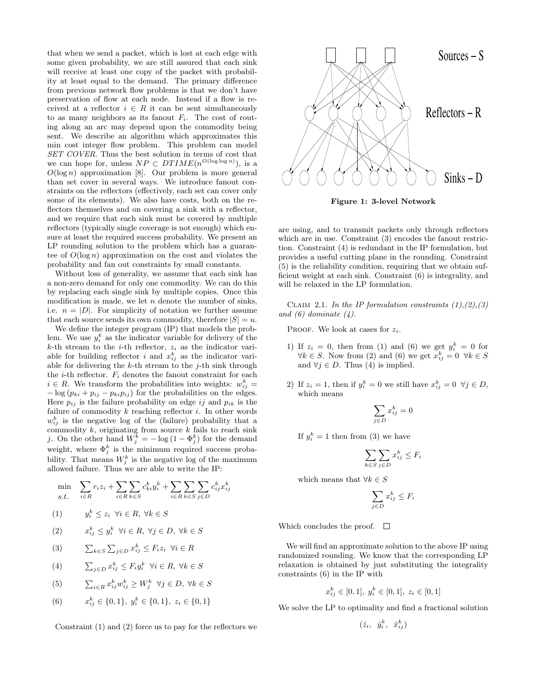that when we send a packet, which is lost at each edge with some given probability, we are still assured that each sink will receive at least one copy of the packet with probability at least equal to the demand. The primary difference from previous network flow problems is that we don't have preservation of flow at each node. Instead if a flow is received at a reflector  $i \in R$  it can be sent simultaneously to as many neighbors as its fanout  $F_i$ . The cost of routing along an arc may depend upon the commodity being sent. We describe an algorithm which approximates this min cost integer flow problem. This problem can model SET COVER. Thus the best solution in terms of cost that we can hope for, unless  $NP \subset DTIME(n^{O(\log \log n)})$ , is a  $O(\log n)$  approximation [8]. Our problem is more general than set cover in several ways. We introduce fanout constraints on the reflectors (effectively, each set can cover only some of its elements). We also have costs, both on the reflectors themselves and on covering a sink with a reflector, and we require that each sink must be covered by multiple reflectors (typically single coverage is not enough) which ensure at least the required success probability. We present an LP rounding solution to the problem which has a guarantee of  $O(\log n)$  approximation on the cost and violates the probability and fan out constraints by small constants.

Without loss of generality, we assume that each sink has a non-zero demand for only one commodity. We can do this by replacing each single sink by multiple copies. Once this modification is made, we let  $n$  denote the number of sinks, i.e.  $n = |D|$ . For simplicity of notation we further assume that each source sends its own commodity, therefore  $|S| = u$ .

We define the integer program (IP) that models the problem. We use  $y_i^k$  as the indicator variable for delivery of the k-th stream to the *i*-th reflector,  $z_i$  as the indicator variable for building reflector i and  $x_{ij}^k$  as the indicator variable for delivering the  $k$ -th stream to the  $j$ -th sink through the *i*-th reflector.  $F_i$  denotes the fanout constraint for each  $i \in R$ . We transform the probabilities into weights:  $w_{ij}^k =$  $-\log\left(p_{ki}+p_{ij}-p_{ki}p_{ij}\right)$  for the probabilities on the edges. Here  $p_{ij}$  is the failure probability on edge ij and  $p_{ik}$  is the failure of commodity  $k$  reaching reflector  $i$ . In other words  $w_{ij}^k$  is the negative log of the (failure) probability that a commodity  $k$ , originating from source  $k$  fails to reach sink j. On the other hand  $W_j^k = -\log(1 - \Phi_j^k)$  for the demand weight, where  $\Phi_j^k$  is the minimum required success probability. That means  $W_j^k$  is the negative log of the maximum allowed failure. Thus we are able to write the IP:

$$
\min_{s.t.} \quad \sum_{i \in R} r_i z_i + \sum_{i \in R} \sum_{k \in S} c_{ki}^k y_i^k + \sum_{i \in R} \sum_{k \in S} \sum_{j \in D} c_{ij}^k x_{ij}^k
$$

$$
(1) \t y_i^k \le z_i \ \forall i \in R, \ \forall k \in S
$$

- $(2)$  $x_{ij}^k \leq y_i^k \ \ \forall i \in R, \ \forall j \in D, \ \forall k \in S$
- (3)  $\sum_{k \in S} \sum_{j \in D} x_{ij}^k \leq F_i z_i \ \forall i \in R$
- (4)  $\sum_{j \in D} x_{ij}^k \leq F_i y_i^k \quad \forall i \in R, \ \forall k \in S$
- (5)  $\sum_{i \in R} x_{ij}^k w_{ij}^k \ge W_j^k \quad \forall j \in D, \ \forall k \in S$
- $(6)$  $x_{ij}^k \in \{0,1\}, y_i^k \in \{0,1\}, z_i \in \{0,1\}$





Figure 1: 3-level Network

are using, and to transmit packets only through reflectors which are in use. Constraint (3) encodes the fanout restriction. Constraint (4) is redundant in the IP formulation, but provides a useful cutting plane in the rounding. Constraint (5) is the reliability condition, requiring that we obtain sufficient weight at each sink. Constraint (6) is integrality, and will be relaxed in the LP formulation.

CLAIM 2.1. In the IP formulation constraints  $(1), (2), (3)$ and  $(6)$  dominate  $(4)$ .

PROOF. We look at cases for  $z_i$ .

- 1) If  $z_i = 0$ , then from (1) and (6) we get  $y_i^k = 0$  for  $\forall k \in S$ . Now from (2) and (6) we get  $x_{ij}^k = 0 \ \forall k \in S$ and  $\forall j \in D$ . Thus (4) is implied.
- 2) If  $z_i = 1$ , then if  $y_i^k = 0$  we still have  $x_{ij}^k = 0 \ \forall j \in D$ , which means

$$
\sum_{j \in D} x_{ij}^k = 0
$$

If  $y_i^k = 1$  then from (3) we have

$$
\sum_{k \in S} \sum_{j \in D} x_{ij}^k \le F_i
$$

which means that  $\forall k \in S$ 

$$
\sum_{j \in D} x_{ij}^k \le F_i
$$

Which concludes the proof.  $\square$ 

We will find an approximate solution to the above IP using randomized rounding. We know that the corresponding LP relaxation is obtained by just substituting the integrality constraints (6) in the IP with

$$
x_{ij}^k \in [0,1], y_i^k \in [0,1], z_i \in [0,1]
$$

We solve the LP to optimality and find a fractional solution

 $(\hat{z}_i, \hat{y}_i^k, \hat{x}_{ij}^k)$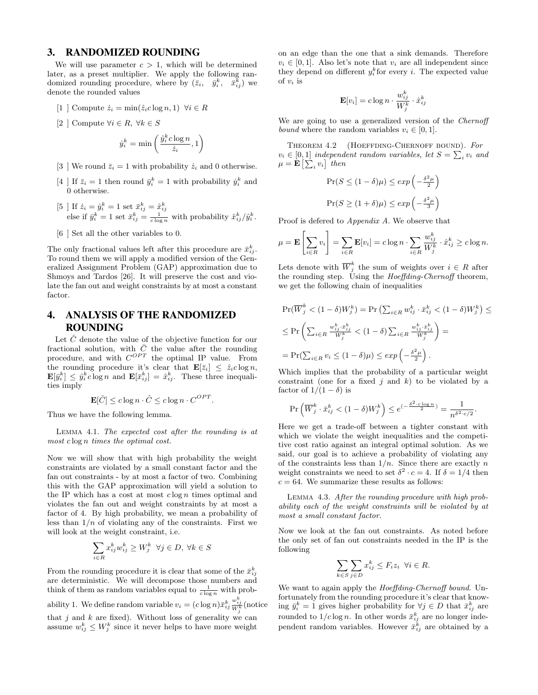# **3. RANDOMIZED ROUNDING**

We will use parameter  $c > 1$ , which will be determined later, as a preset multiplier. We apply the following randomized rounding procedure, where by  $(\bar{z}_i, \bar{y}_i^k, \bar{x}_{ij}^k)$  we denote the rounded values

- [1 ] Compute  $\dot{z}_i = \min(\hat{z}_i c \log n, 1) \ \forall i \in R$
- [2 ] Compute  $\forall i \in R, \forall k \in S$

$$
\dot{y}_i^k = \min\left(\frac{\hat{y}_i^k c \log n}{\dot{z}_i}, 1\right)
$$

- [3 ] We round  $\bar{z}_i = 1$  with probability  $\dot{z}_i$  and 0 otherwise.
- [4 ] If  $\bar{z}_i = 1$  then round  $\bar{y}_i^k = 1$  with probability  $\dot{y}_i^k$  and 0 otherwise.
- [5 ] If  $\dot{z}_i = \dot{y}_i^k = 1$  set  $\bar{x}_{ij}^k = \frac{\hat{x}_{ij}^k}{\frac{1}{\text{c}\log n}}$  with probability  $\hat{x}_{ij}^k / \hat{y}_i^k$ .
- [6 ] Set all the other variables to 0.

The only fractional values left after this procedure are  $\bar{x}_{ij}^k$ . To round them we will apply a modified version of the Generalized Assignment Problem (GAP) approximation due to Shmoys and Tardos [26]. It will preserve the cost and violate the fan out and weight constraints by at most a constant factor.

# **4. ANALYSIS OF THE RANDOMIZED ROUNDING**

Let  $\ddot{C}$  denote the value of the objective function for our fractional solution, with  $\bar{C}$  the value after the rounding procedure, and with  $C^{OPT}$  the optimal IP value. From the rounding procedure it's clear that  $\mathbf{E}[\bar{z}_i] \leq \hat{z}_i c \log n$ ,  $\mathbf{E}[\bar{y}_i^k] \leq \hat{y}_i^k c \log n$  and  $\mathbf{E}[\bar{x}_{ij}^k] = \hat{x}_{ij}^k$ . These three inequalities imply

$$
\mathbf{E}[\bar{C}] \le c \log n \cdot \hat{C} \le c \log n \cdot C^{OPT}.
$$

Thus we have the following lemma.

Lemma 4.1. The expected cost after the rounding is at most c log n times the optimal cost.

Now we will show that with high probability the weight constraints are violated by a small constant factor and the fan out constraints - by at most a factor of two. Combining this with the GAP approximation will yield a solution to the IP which has a cost at most  $c \log n$  times optimal and violates the fan out and weight constraints by at most a factor of 4. By high probability, we mean a probability of less than  $1/n$  of violating any of the constraints. First we will look at the weight constraint, i.e.

$$
\sum_{i \in R} x_{ij}^k w_{ij}^k \ge W_j^k \quad \forall j \in D, \ \forall k \in S
$$

From the rounding procedure it is clear that some of the  $\bar{x}_{ij}^k$ are deterministic. We will decompose those numbers and think of them as random variables equal to  $\frac{1}{c \log n}$  with probability 1. We define random variable  $v_i = (c \log n) \bar{x}_{ij}^k \frac{w_{ij}^k}{W_j^k}$  (notice that  $j$  and  $k$  are fixed). Without loss of generality we can assume  $w_{ij}^k \leq W_j^k$  since it never helps to have more weight

on an edge than the one that a sink demands. Therefore  $v_i \in [0, 1]$ . Also let's note that  $v_i$  are all independent since they depend on different  $y_i^k$  for every *i*. The expected value of  $v_i$  is

$$
\mathbf{E}[v_i] = c \log n \cdot \frac{w_{ij}^k}{W_j^k} \cdot \hat{x}_{ij}^k
$$

We are going to use a generalized version of the *Chernoff* bound where the random variables  $v_i \in [0, 1]$ .

THEOREM 4.2 (HOEFFDING-CHERNOFF BOUND). For  $v_i \in [0,1]$  independent random variables, let  $S = \sum_i v_i$  and  $\mu = \mathbf{E}\left[\sum_i v_i\right]$  then

$$
\Pr(S \le (1 - \delta)\mu) \le \exp\left(-\frac{\delta^2 \mu}{2}\right)
$$
  

$$
\Pr(S \ge (1 + \delta)\mu) \le \exp\left(-\frac{\delta^2 \mu}{3}\right)
$$

Proof is defered to Appendix A. We observe that

$$
\mu = \mathbf{E}\left[\sum_{i \in R} v_i\right] = \sum_{i \in R} \mathbf{E}[v_i] = c \log n \cdot \sum_{i \in R} \frac{w_{ij}^k}{W_j^k} \cdot \hat{x}_{ij}^k \ge c \log n.
$$

Lets denote with  $\overline{W}_j^k$  the sum of weights over  $i \in R$  after the rounding step. Using the *Hoeffding-Chernoff* theorem, we get the following chain of inequalities

$$
\Pr(\overline{W}_j^k < (1 - \delta)W_j^k) = \Pr\left(\sum_{i \in R} w_{ij}^k \cdot \overline{x}_{ij}^k < (1 - \delta)W_j^k\right) \le
$$
\n
$$
\leq \Pr\left(\sum_{i \in R} \frac{w_{ij}^k \cdot \overline{x}_{ij}^k}{W_j^k} < (1 - \delta) \sum_{i \in R} \frac{w_{ij}^k \cdot \overline{x}_{ij}^k}{W_j^k}\right) =
$$
\n
$$
= \Pr(\sum_{i \in R} v_i \leq (1 - \delta)\mu) \leq \exp\left(-\frac{\delta^2 \mu}{2}\right).
$$

Which implies that the probability of a particular weight constraint (one for a fixed  $j$  and  $k$ ) to be violated by a factor of  $1/(1 - \delta)$  is

$$
\Pr\left(\overline{W}_j^k \cdot \bar{x}_{ij}^k < (1 - \delta)W_j^k\right) \le e^{\left(-\frac{\delta^2 \cdot c \log n}{2}\right)} = \frac{1}{n^{\delta^2 \cdot c/2}}.
$$

Here we get a trade-off between a tighter constant with which we violate the weight inequalities and the competitive cost ratio against an integral optimal solution. As we said, our goal is to achieve a probability of violating any of the constraints less than  $1/n$ . Since there are exactly n weight constraints we need to set  $\delta^2 \cdot c = 4$ . If  $\delta = 1/4$  then  $c = 64$ . We summarize these results as follows:

Lemma 4.3. After the rounding procedure with high probability each of the weight constraints will be violated by at most a small constant factor.

Now we look at the fan out constraints. As noted before the only set of fan out constraints needed in the IP is the following

$$
\sum_{k \in S} \sum_{j \in D} x_{ij}^k \le F_i z_i \ \forall i \in R.
$$

We want to again apply the *Hoeffding-Chernoff bound*. Unfortunately from the rounding procedure it's clear that knowing  $\bar{y}_i^k = 1$  gives higher probability for  $\forall j \in D$  that  $\bar{x}_{ij}^k$  are rounded to  $1/c \log n$ . In other words  $\bar{x}_{ij}^k$  are no longer independent random variables. However  $\bar{x}_{ij}^k$  are obtained by a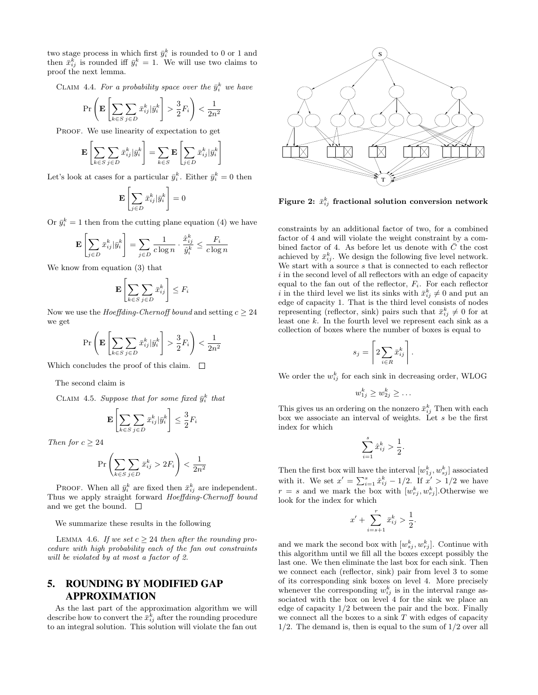two stage process in which first  $\bar{y}_i^k$  is rounded to 0 or 1 and then  $\bar{x}_{ij}^k$  is rounded iff  $\bar{y}_i^k = 1$ . We will use two claims to proof the next lemma.

CLAIM 4.4. For a probability space over the  $\bar{y}_i^k$  we have

$$
\Pr\left(\mathbf{E}\left[\sum_{k\in S}\sum_{j\in D}\bar{x}_{ij}^k|\bar{y}_i^k\right] > \frac{3}{2}F_i\right) < \frac{1}{2n^2}
$$

PROOF. We use linearity of expectation to get

$$
\mathbf{E}\left[\sum_{k\in S}\sum_{j\in D}\bar{x}_{ij}^k|\bar{y}_i^k\right]=\sum_{k\in S}\mathbf{E}\left[\sum_{j\in D}\bar{x}_{ij}^k|\bar{y}_i^k\right]
$$

Let's look at cases for a particular  $\bar{y}_i^k$ . Either  $\bar{y}_i^k = 0$  then

$$
\mathbf{E}\left[\sum_{j\in D}\bar{x}_{ij}^k|\bar{y}_i^k\right]=0
$$

Or  $\bar{y}_i^k = 1$  then from the cutting plane equation (4) we have

$$
\mathbf{E}\left[\sum_{j\in D} \bar{x}_{ij}^k | \bar{y}_i^k\right] = \sum_{j\in D} \frac{1}{c \log n} \cdot \frac{\hat{x}_{ij}^k}{\hat{y}_i^k} \le \frac{F_i}{c \log n}
$$

We know from equation (3) that

$$
\mathbf{E}\left[\sum_{k\in S}\sum_{j\in D}\bar{x}_{ij}^k\right] \leq F_i
$$

Now we use the *Hoeffding-Chernoff bound* and setting  $c \geq 24$ we get

$$
\Pr\left(\mathbf{E}\left[\sum_{k\in S}\sum_{j\in D}\bar{x}_{ij}^k|\bar{y}_i^k\right] > \frac{3}{2}F_i\right) < \frac{1}{2n^2}
$$

Which concludes the proof of this claim.  $\Box$ 

The second claim is

CLAIM 4.5. Suppose that for some fixed  $\bar{y}_i^k$  that

$$
\mathbf{E}\left[\sum_{k\in S}\sum_{j\in D}\bar{x}_{ij}^k|\bar{y}_i^k\right]\leq \frac{3}{2}F_i
$$

Then for  $c \geq 24$ 

$$
\Pr\left(\sum_{k \in S} \sum_{j \in D} \bar{x}_{ij}^k > 2F_i\right) < \frac{1}{2n^2}
$$

PROOF. When all  $\bar{y}_i^k$  are fixed then  $\bar{x}_{ij}^k$  are independent. Thus we apply straight forward Hoeffding-Chernoff bound and we get the bound.  $\Box$ 

We summarize these results in the following

LEMMA 4.6. If we set  $c \geq 24$  then after the rounding procedure with high probability each of the fan out constraints will be violated by at most a factor of 2.

# **5. ROUNDING BY MODIFIED GAP APPROXIMATION**

As the last part of the approximation algorithm we will describe how to convert the  $\bar{x}_{ij}^k$  after the rounding procedure to an integral solution. This solution will violate the fan out



Figure 2:  $\bar{x}_{ij}^k$  fractional solution conversion network

constraints by an additional factor of two, for a combined factor of 4 and will violate the weight constraint by a combined factor of 4. As before let us denote with  $\overline{C}$  the cost achieved by  $\bar{x}_{ij}^k$ . We design the following five level network. We start with a source s that is connected to each reflector i in the second level of all reflectors with an edge of capacity equal to the fan out of the reflector,  $F_i$ . For each reflector i in the third level we list its sinks with  $\bar{x}_{ij}^k \neq 0$  and put an edge of capacity 1. That is the third level consists of nodes representing (reflector, sink) pairs such that  $\bar{x}_{ij}^k \neq 0$  for at least one  $k$ . In the fourth level we represent each sink as a collection of boxes where the number of boxes is equal to

$$
s_j = \left\lceil 2 \sum_{i \in R} \bar{x}_{ij}^k \right\rceil
$$

.

We order the  $w_{ij}^k$  for each sink in decreasing order, WLOG

$$
w_{1j}^k \geq w_{2j}^k \geq \dots
$$

This gives us an ordering on the nonzero  $\bar{x}_{ij}^k$  Then with each box we associate an interval of weights. Let s be the first index for which

$$
\sum_{i=1}^s \hat{x}_{ij}^k > \frac{1}{2}.
$$

Then the first box will have the interval  $[w_{1j}^k, w_{sj}^k]$  associated with it. We set  $x' = \sum_{i=1}^s \hat{x}_{ij}^k - 1/2$ . If  $x' > 1/2$  we have  $r = s$  and we mark the box with  $[w_{rj}^k, w_{rj}^k]$ . Otherwise we look for the index for which

$$
x' + \sum_{i=s+1}^{r} \bar{x}_{ij}^{k} > \frac{1}{2}.
$$

and we mark the second box with  $[w_{sj}^k, w_{rj}^k]$ . Continue with this algorithm until we fill all the boxes except possibly the last one. We then eliminate the last box for each sink. Then we connect each (reflector, sink) pair from level 3 to some of its corresponding sink boxes on level 4. More precisely whenever the corresponding  $w_{ij}^k$  is in the interval range associated with the box on level 4 for the sink we place an edge of capacity 1/2 between the pair and the box. Finally we connect all the boxes to a sink  $T$  with edges of capacity  $1/2$ . The demand is, then is equal to the sum of  $1/2$  over all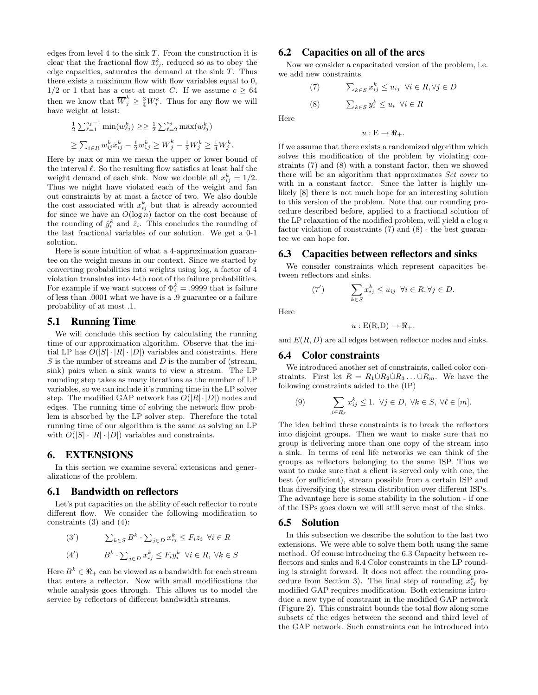edges from level 4 to the sink  $T$ . From the construction it is clear that the fractional flow  $\bar{x}_{ij}^k$ , reduced so as to obey the edge capacities, saturates the demand at the sink T. Thus there exists a maximum flow with flow variables equal to 0,  $1/2$  or 1 that has a cost at most  $\overline{C}$ . If we assume  $c \geq 64$ then we know that  $\overline{W}_j^k \geq \frac{3}{4} W_j^k$ . Thus for any flow we will have weight at least:

$$
\frac{1}{2} \sum_{\ell=1}^{s_j-1} \min(w_{\ell j}^k) \ge \ge \frac{1}{2} \sum_{\ell=2}^{s_j} \max(w_{\ell j}^k)
$$
  

$$
\ge \sum_{i \in R} w_{ij}^k \bar{x}_{ij}^k - \frac{1}{2} w_{1j}^k \ge \overline{W}_j^k - \frac{1}{2} W_j^k \ge \frac{1}{4} W_j^k.
$$

Here by max or min we mean the upper or lower bound of the interval  $\ell$ . So the resulting flow satisfies at least half the weight demand of each sink. Now we double all  $x_{ij}^k = 1/2$ . Thus we might have violated each of the weight and fan out constraints by at most a factor of two. We also double the cost associated with  $x_{ij}^k$  but that is already accounted for since we have an  $O(\log n)$  factor on the cost because of the rounding of  $\hat{y}_i^k$  and  $\hat{z}_i$ . This concludes the rounding of the last fractional variables of our solution. We get a 0-1 solution.

Here is some intuition of what a 4-approximation guarantee on the weight means in our context. Since we started by converting probabilities into weights using log, a factor of 4 violation translates into 4-th root of the failure probabilities. For example if we want success of  $\Phi_i^k = .9999$  that is failure of less than .0001 what we have is a .9 guarantee or a failure probability of at most .1.

### **5.1 Running Time**

We will conclude this section by calculating the running time of our approximation algorithm. Observe that the initial LP has  $O(|S| \cdot |R| \cdot |D|)$  variables and constraints. Here  $S$  is the number of streams and  $D$  is the number of (stream, sink) pairs when a sink wants to view a stream. The LP rounding step takes as many iterations as the number of LP variables, so we can include it's running time in the LP solver step. The modified GAP network has  $O(|R|\cdot|D|)$  nodes and edges. The running time of solving the network flow problem is absorbed by the LP solver step. Therefore the total running time of our algorithm is the same as solving an LP with  $O(|S| \cdot |R| \cdot |D|)$  variables and constraints.

### **6. EXTENSIONS**

In this section we examine several extensions and generalizations of the problem.

# **6.1 Bandwidth on reflectors**

Let's put capacities on the ability of each reflector to route different flow. We consider the following modification to constraints  $(3)$  and  $(4)$ :

(3') 
$$
\sum_{k \in S} B^k \cdot \sum_{j \in D} x_{ij}^k \le F_i z_i \quad \forall i \in R
$$
  
(4') 
$$
B^k \cdot \sum_{k \in S} x_k^k \le F_i x_k^k \quad \forall i \in R \quad \forall k \in R
$$

(4') 
$$
B^k \cdot \sum_{j \in D} x_{ij}^k \leq F_i y_i^k \quad \forall i \in R, \ \forall k \in S
$$

Here  $B^k \in \mathbb{R}_+$  can be viewed as a bandwidth for each stream that enters a reflector. Now with small modifications the whole analysis goes through. This allows us to model the service by reflectors of different bandwidth streams.

# **6.2 Capacities on all of the arcs**

Now we consider a capacitated version of the problem, i.e. we add new constraints

(7) 
$$
\sum_{k \in S} x_{ij}^k \le u_{ij} \quad \forall i \in R, \forall j \in D
$$

$$
(8) \qquad \sum_{k \in S} y_i^k \le u_i \quad \forall i \in R
$$

Here

$$
u:\mathcal{E}\to\Re_+.
$$

If we assume that there exists a randomized algorithm which solves this modification of the problem by violating constraints (7) and (8) with a constant factor, then we showed there will be an algorithm that approximates Set cover to with in a constant factor. Since the latter is highly unlikely [8] there is not much hope for an interesting solution to this version of the problem. Note that our rounding procedure described before, applied to a fractional solution of the LP relaxation of the modified problem, will yield a  $c \log n$ factor violation of constraints (7) and (8) - the best guarantee we can hope for.

### **6.3 Capacities between reflectors and sinks**

We consider constraints which represent capacities between reflectors and sinks.

(7') 
$$
\sum_{k \in S} x_{ij}^k \le u_{ij} \ \forall i \in R, \forall j \in D.
$$

Here

$$
u: E(R,D) \to \Re_+.
$$

and  $E(R, D)$  are all edges between reflector nodes and sinks.

#### **6.4 Color constraints**

We introduced another set of constraints, called color constraints. First let  $R = R_1 \dot{\cup} R_2 \dot{\cup} R_3 \dots \dot{\cup} R_m$ . We have the following constraints added to the (IP)

(9) 
$$
\sum_{i \in R_{\ell}} x_{ij}^{k} \leq 1. \ \forall j \in D, \ \forall k \in S, \ \forall \ell \in [m].
$$

The idea behind these constraints is to break the reflectors into disjoint groups. Then we want to make sure that no group is delivering more than one copy of the stream into a sink. In terms of real life networks we can think of the groups as reflectors belonging to the same ISP. Thus we want to make sure that a client is served only with one, the best (or sufficient), stream possible from a certain ISP and thus diversifying the stream distribution over different ISPs. The advantage here is some stability in the solution - if one of the ISPs goes down we will still serve most of the sinks.

#### **6.5 Solution**

In this subsection we describe the solution to the last two extensions. We were able to solve them both using the same method. Of course introducing the 6.3 Capacity between reflectors and sinks and 6.4 Color constraints in the LP rounding is straight forward. It does not affect the rounding procedure from Section 3). The final step of rounding  $\bar{x}_{ij}^k$  by modified GAP requires modification. Both extensions introduce a new type of constraint in the modified GAP network (Figure 2). This constraint bounds the total flow along some subsets of the edges between the second and third level of the GAP network. Such constraints can be introduced into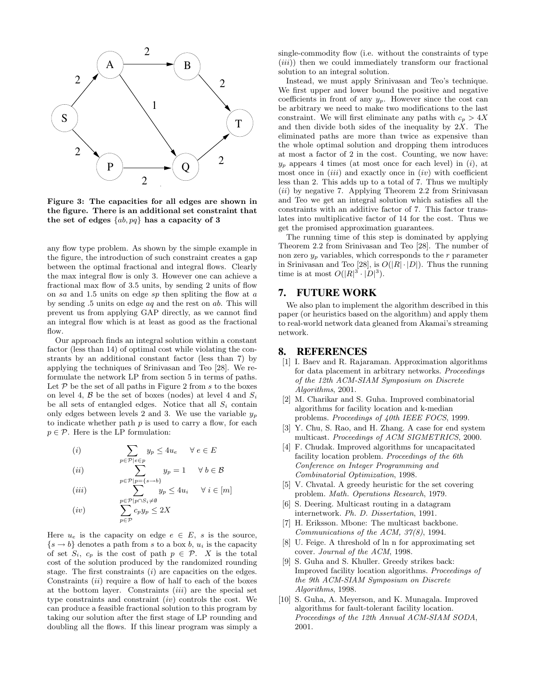

Figure 3: The capacities for all edges are shown in the figure. There is an additional set constraint that the set of edges  $\{ab, pq\}$  has a capacity of 3

any flow type problem. As shown by the simple example in the figure, the introduction of such constraint creates a gap between the optimal fractional and integral flows. Clearly the max integral flow is only 3. However one can achieve a fractional max flow of 3.5 units, by sending 2 units of flow on sa and 1.5 units on edge sp then spliting the flow at a by sending .5 units on edge aq and the rest on ab. This will prevent us from applying GAP directly, as we cannot find an integral flow which is at least as good as the fractional flow.

Our approach finds an integral solution within a constant factor (less than 14) of optimal cost while violating the constrants by an additional constant factor (less than 7) by applying the techniques of Srinivasan and Teo [28]. We reformulate the network LP from section 5 in terms of paths. Let  $P$  be the set of all paths in Figure 2 from  $s$  to the boxes on level 4,  $\beta$  be the set of boxes (nodes) at level 4 and  $S_i$ be all sets of entangled edges. Notice that all  $S_i$  contain only edges between levels 2 and 3. We use the variable  $y_p$ to indicate whether path  $p$  is used to carry a flow, for each  $p \in \mathcal{P}$ . Here is the LP formulation:

(i) 
$$
\sum_{p \in \mathcal{P} \mid e \in p} y_p \le 4u_e \quad \forall e \in E
$$
  
(ii) 
$$
\sum_{p \in \mathcal{P} \mid e \in p} y_p = 1 \quad \forall h \in E
$$

p∈P

(ii)

 $p \in \mathcal{P}$ | $p = \{s \rightarrow b\}$  $(iii)$  $\sum$  $p \in \mathcal{P} | p \cap S_i \neq \emptyset$  $y_p \le 4u_i \quad \forall i \in [m]$  $(iv)$  $\overline{\phantom{0}}$  $c_p y_p \leq 2X$ 

 $y_p = 1 \quad \forall b \in \mathcal{B}$ 

Here  $u_e$  is the capacity on edge  $e \in E$ , s is the source,  $\{s \to b\}$  denotes a path from s to a box b,  $u_i$  is the capacity of set  $S_i$ ,  $c_p$  is the cost of path  $p \in \mathcal{P}$ . X is the total cost of the solution produced by the randomized rounding stage. The first constraints  $(i)$  are capacities on the edges. Constraints *(ii)* require a flow of half to each of the boxes at the bottom layer. Constraints (iii) are the special set type constraints and constraint  $(iv)$  controls the cost. We can produce a feasible fractional solution to this program by taking our solution after the first stage of LP rounding and doubling all the flows. If this linear program was simply a

single-commodity flow (i.e. without the constraints of type  $(iii)$ ) then we could immediately transform our fractional solution to an integral solution.

Instead, we must apply Srinivasan and Teo's technique. We first upper and lower bound the positive and negative coefficients in front of any  $y_p$ . However since the cost can be arbitrary we need to make two modifications to the last constraint. We will first eliminate any paths with  $c_p > 4X$ and then divide both sides of the inequality by  $2X$ . The eliminated paths are more than twice as expensive than the whole optimal solution and dropping them introduces at most a factor of 2 in the cost. Counting, we now have:  $y_p$  appears 4 times (at most once for each level) in (i), at most once in  $(iii)$  and exactly once in  $(iv)$  with coefficient less than 2. This adds up to a total of 7. Thus we multiply (ii) by negative 7. Applying Theorem 2.2 from Srinivasan and Teo we get an integral solution which satisfies all the constraints with an additive factor of 7. This factor translates into multiplicative factor of 14 for the cost. Thus we get the promised approximation guarantees.

The running time of this step is dominated by applying Theorem 2.2 from Srinivasan and Teo [28]. The number of non zero  $y_p$  variables, which corresponds to the  $r$  parameter in Srinivasan and Teo [28], is  $O(|R| \cdot |D|)$ . Thus the running time is at most  $O(|R|^3 \cdot |D|^3)$ .

# **7. FUTURE WORK**

We also plan to implement the algorithm described in this paper (or heuristics based on the algorithm) and apply them to real-world network data gleaned from Akamai's streaming network.

# **8. REFERENCES**

- [1] I. Baev and R. Rajaraman. Approximation algorithms for data placement in arbitrary networks. Proceedings of the 12th ACM-SIAM Symposium on Discrete Algorithms, 2001.
- [2] M. Charikar and S. Guha. Improved combinatorial algorithms for facility location and k-median problems. Proceedings of 40th IEEE FOCS, 1999.
- [3] Y. Chu, S. Rao, and H. Zhang. A case for end system multicast. Proceedings of ACM SIGMETRICS, 2000.
- [4] F. Chudak. Improved algorithms for uncapacitated facility location problem. Proceedings of the 6th Conference on Integer Programming and Combinatorial Optimization, 1998.
- [5] V. Chvatal. A greedy heuristic for the set covering problem. Math. Operations Research, 1979.
- [6] S. Deering. Multicast routing in a datagram internetwork. Ph. D. Dissertation, 1991.
- [7] H. Eriksson. Mbone: The multicast backbone. Communications of the ACM, 37(8), 1994.
- [8] U. Feige. A threshold of ln n for approximating set cover. Journal of the ACM, 1998.
- [9] S. Guha and S. Khuller. Greedy strikes back: Improved facility location algorithms. Proceedings of the 9th ACM-SIAM Symposium on Discrete Algorithms, 1998.
- [10] S. Guha, A. Meyerson, and K. Munagala. Improved algorithms for fault-tolerant facility location. Proceedings of the 12th Annual ACM-SIAM SODA, 2001.